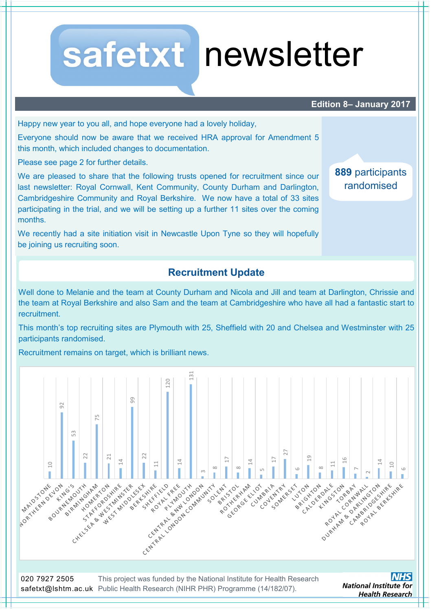# safetxt newsletter

#### **Edition 8– January 2017**

**889** participants randomised

Happy new year to you all, and hope everyone had a lovely holiday,

Everyone should now be aware that we received HRA approval for Amendment 5 this month, which included changes to documentation.

Please see page 2 for further details.

We are pleased to share that the following trusts opened for recruitment since our last newsletter: Royal Cornwall, Kent Community, County Durham and Darlington, Cambridgeshire Community and Royal Berkshire. We now have a total of 33 sites participating in the trial, and we will be setting up a further 11 sites over the coming months.

We recently had a site initiation visit in Newcastle Upon Tyne so they will hopefully be joining us recruiting soon.

## **Recruitment Update**

Well done to Melanie and the team at County Durham and Nicola and Jill and team at Darlington, Chrissie and the team at Royal Berkshire and also Sam and the team at Cambridgeshire who have all had a fantastic start to recruitment.

This month's top recruiting sites are Plymouth with 25, Sheffield with 20 and Chelsea and Westminster with 25 participants randomised.

Recruitment remains on target, which is brilliant news.